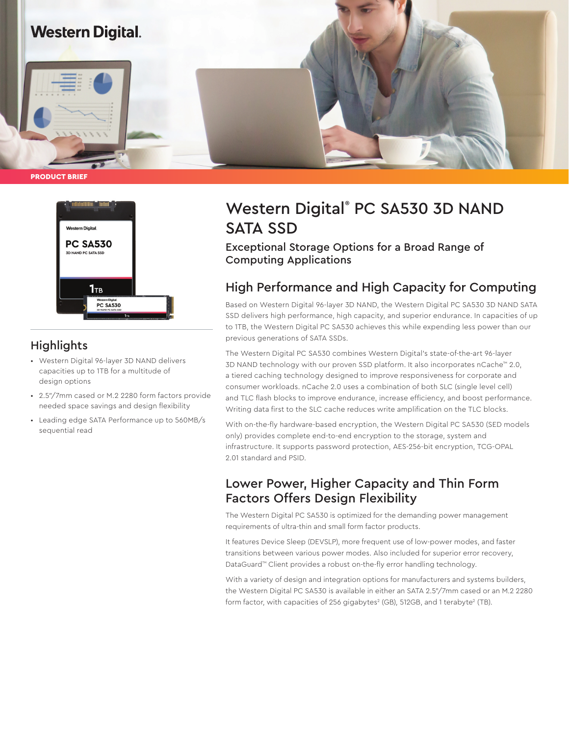

PRODUCT BRIEF



## **Highlights**

- Western Digital 96-layer 3D NAND delivers capacities up to 1TB for a multitude of design options
- 2.5"/7mm cased or M.2 2280 form factors provide needed space savings and design flexibility
- Leading edge SATA Performance up to 560MB/s sequential read

# Western Digital® PC SA530 3D NAND SATA SSD

Exceptional Storage Options for a Broad Range of Computing Applications

## High Performance and High Capacity for Computing

Based on Western Digital 96-layer 3D NAND, the Western Digital PC SA530 3D NAND SATA SSD delivers high performance, high capacity, and superior endurance. In capacities of up to 1TB, the Western Digital PC SA530 achieves this while expending less power than our previous generations of SATA SSDs.

The Western Digital PC SA530 combines Western Digital's state-of-the-art 96-layer 3D NAND technology with our proven SSD platform. It also incorporates nCache™ 2.0, a tiered caching technology designed to improve responsiveness for corporate and consumer workloads. nCache 2.0 uses a combination of both SLC (single level cell) and TLC flash blocks to improve endurance, increase efficiency, and boost performance. Writing data first to the SLC cache reduces write amplification on the TLC blocks.

With on-the-fly hardware-based encryption, the Western Digital PC SA530 (SED models only) provides complete end-to-end encryption to the storage, system and infrastructure. It supports password protection, AES-256-bit encryption, TCG-OPAL 2.01 standard and PSID.

## Lower Power, Higher Capacity and Thin Form Factors Offers Design Flexibility

The Western Digital PC SA530 is optimized for the demanding power management requirements of ultra-thin and small form factor products.

It features Device Sleep (DEVSLP), more frequent use of low-power modes, and faster transitions between various power modes. Also included for superior error recovery, DataGuard™ Client provides a robust on-the-fly error handling technology.

With a variety of design and integration options for manufacturers and systems builders, the Western Digital PC SA530 is available in either an SATA 2.5"/7mm cased or an M.2 2280 form factor, with capacities of 256 gigabytes $^2$  (GB), 512GB, and 1 terabyte $^2$  (TB).